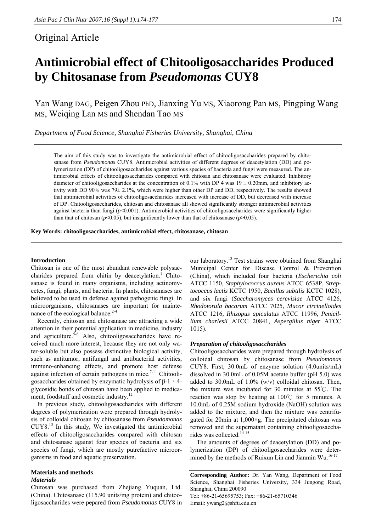# Original Article

# **Antimicrobial effect of Chitooligosaccharides Produced by Chitosanase from** *Pseudomonas* **CUY8**

Yan Wang DAG, Peigen Zhou PhD, Jianxing Yu MS, Xiaorong Pan MS, Pingping Wang MS, Weiqing Lan MS and Shendan Tao MS

*Department of Food Science, Shanghai Fisheries University, Shanghai, China* 

The aim of this study was to investigate the antimicrobial effect of chitooligosaccharides prepared by chitosanase from *Pseudomonas* CUY8. Antimicrobial activities of different degrees of deacetylation (DD) and polymerization (DP) of chitooligosaccharides against various species of bacteria and fungi were measured. The antimicrobial effects of chitooligosaccharides compared with chitosan and chitosanase were evaluated. Inhibitory diameter of chitooligosaccharides at the concentration of 0.1% with DP 4 was  $19 \pm 0.20$ mm, and inhibitory activity with DD 90% was 79± 2.1%, which were higher than other DP and DD, respectively. The results showed that antimicrobial activities of chitooligosaccharides increased with increase of DD, but decreased with increase of DP. Chitooligosaccharides, chitosan and chitosanase all showed significantly stronger antimicrobial activities against bacteria than fungi ( $p$ <0.001). Antimicrobial activities of chitooligosaccharides were significantly higher than that of chitosan ( $p$ <0.05), but insignificantly lower than that of chitosanase ( $p$ >0.05).

**Key Words: chitooligosaccharides, antimicrobial effect, chitosanase, chitosan** 

#### **Introduction**

Chitosan is one of the most abundant renewable polysaccharides prepared from chitin by deacetylation.<sup>1</sup> Chitosanase is found in many organisms, including actinomycetes, fungi, plants, and bacteria. In plants, chitosanases are believed to be used in defense against pathogenic fungi. In microorganisms, chitosanases are important for maintenance of the ecological balance.<sup>2-4</sup>

Recently, chitosan and chitosanase are attracting a wide attention in their potential application in medicine, industry and agriculture.<sup>5-6</sup> Also, chitooligosaccharides have received much more interest, because they are not only water-soluble but also possess distinctive biological activity, such as antitumor, antifungal and antibacterial activities, immuno-enhancing effects, and promote host defense against infection of certain pathogens in mice.<sup>7-11</sup> Chitooligosaccharides obtained by enzymatic hydrolysis of  $β-1$ , 4glycosidic bonds of chitosan have been applied to medicament, foodstuff and cosmetic industry.<sup>12</sup>

In previous study, chitooligosaccharides with different degrees of polymerization were prepared through hydrolysis of colloidal chitosan by chitosanase from *Pseudomonas*   $CUY8<sup>13</sup>$  In this study. We investigated the antimicrobial effects of chitooligosaccharides compared with chitosan and chitosanase against four species of bacteria and six species of fungi, which are mostly putrefactive microorganisms in food and aquatic preservation.

# **Materials and methods**

### *Materials*

Chitosan was purchased from Zhejiang Yuquan, Ltd. (China). Chitosanase (115.90 units/mg protein) and chitooligosaccharides were pepared from *Pseudomonas* CUY8 in

our laboratory.<sup>13</sup> Test strains were obtained from Shanghai Municipal Center for Disease Control & Prevention (China), which included four bacteria (*Escherichia coli* ATCC 1150, *Staphylococcus aureus* ATCC 6538P, *Streptococcus lactis* KCTC 1950, *Bacillus subtilis* KCTC 1028), and six fungi (*Saccharomyces cerevisiae* ATCC 4126, *Rhodotorula bacarum* ATCC 7025, *Mucor circinelloides*  ATCC 1216*, Rhizopus apiculatus* ATCC 11996*, Penicillium charlesii* ATCC 20841, *Aspergillus niger* ATCC 1015).

#### *Preparation of chitooligosaccharides*

Chitooligosaccharides were prepared through hydrolysis of colloidal chitosan by chitosanase from *Pseudomonas*  CUY8. First, 30.0mL of enzyme solution (4.0units/mL) dissolved in 30.0mL of 0.05M acetate buffer (pH 5.0) was added to 30.0mL of 1.0% (w/v) colloidal chitosan. Then, the mixture was incubated for 30 minutes at 55℃. The reaction was stop by heating at 100℃ for 5 minutes. A 10.0mL of 0.25M sodium hydroxide (NaOH) solution was added to the mixture, and then the mixture was centrifugated for 20min at  $1,000 \times g$ . The precipitated chitosan was removed and the supernatant containing chitooligosaccharides was collected.<sup>14-15</sup>

The amounts of degrees of deacetylation (DD) and polymerization (DP) of chitooligosaccharides were determined by the methods of Ruixun Lin and Jianmin Wu.<sup>16-17</sup>

**Corresponding Author:** Dr. Yan Wang, Department of Food Science, Shanghai Fisheries University, 334 Jungong Road, Shanghai, China 200090 Tel: +86-21-65695753; Fax: +86-21-65710346 Email: ywang2@shfu.edu.cn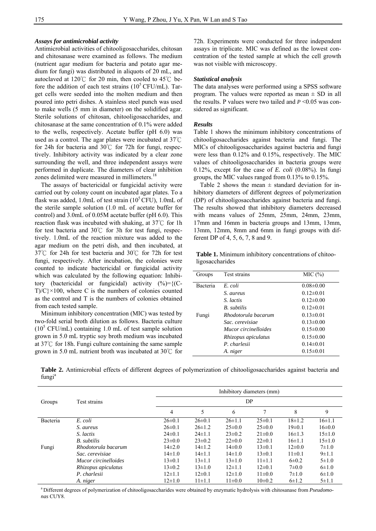### *Assays for antimicrobial activity*

Antimicrobial activities of chitooligosaccharides, chitosan and chitosanase were examined as follows. The medium (nutrient agar medium for bacteria and potato agar medium for fungi) was distributed in aliquots of 20 mL, and autoclaved at 120℃ for 20 min, then cooled to 45℃ before the addition of each test strains  $(10^5 \text{CFU/mL})$ . Target cells were seeded into the molten medium and then poured into petri dishes. A stainless steel punch was used to make wells (5 mm in diameter) on the solidified agar. Sterile solutions of chitosan, chitooligosaccharides, and chitosanase at the same concentration of 0.1% were added to the wells, respectively. Acetate buffer (pH 6.0) was used as a control. The agar plates were incubated at 37℃ for 24h for bacteria and 30℃ for 72h for fungi, respectively. Inhibitory activity was indicated by a clear zone surrounding the well, and three independent assays were performed in duplicate. The diameters of clear inhibition zones delimited were measured in millimeters.<sup>18</sup>

The assays of bactericidal or fungicidal activity were carried out by colony count on incubated agar plates. To a flask was added, 1.0mL of test strain  $(10^5 \text{CFU})$ , 1.0mL of the sterile sample solution (1.0 mL of acetate buffer for control) and 3.0mL of 0.05M acetate buffer (pH 6.0). This reaction flask was incubated with shaking, at 37℃ for 1h for test bacteria and 30℃ for 3h for test fungi, respectively. 1.0mL of the reaction mixture was added to the agar medium on the petri dish, and then incubated, at 37℃ for 24h for test bacteria and 30℃ for 72h for test fungi, respectively. After incubation, the colonies were counted to indicate bactericidal or fungicidal activity which was calculated by the following equation: Inhibitory (bactericidal or fungicidal) activity  $(\%) = \{ (C - \%)$  $T/C$  × 100, where C is the numbers of colonies counted as the control and T is the numbers of colonies obtained from each tested sample.

Minimum inhibitory concentration (MIC) was tested by two-fold serial broth dilution as follows. Bacteria culture  $(10^5 \text{ CFU/mL})$  containing 1.0 mL of test sample solution grown in 5.0 mL tryptic soy broth medium was incubated at 37℃ for 18h. Fungi culture containing the same sample grown in 5.0 mL nutrient broth was incubated at 30℃ for

72h. Experiments were conducted for three independent assays in triplicate. MIC was defined as the lowest concentration of the tested sample at which the cell growth was not visible with microscopy.

### *Statistical analysis*

The data analyses were performed using a SPSS software program. The values were reported as mean  $\pm$  SD in all the results. P values were two tailed and  $P \leq 0.05$  was considered as significant.

#### *Results*

Table 1 shows the minimum inhibitory concentrations of chitooligosaccharides against bacteria and fungi. The MICs of chitooligosaccharides against bacteria and fungi were less than 0.12% and 0.15%, respectively. The MIC values of chitooligosaccharides in bacteria groups were 0.12%, except for the case of *E. coli* (0.08%). In fungi groups, the MIC values ranged from 0.13% to 0.15%.

Table 2 shows the mean  $\pm$  standard deviation for inhibitory diameters of different degrees of polymerization (DP) of chitooligosaccharides against bacteria and fungi. The results showed that inhibitory diameters decreased with means values of 25mm, 25mm, 24mm, 23mm, 17mm and 16mm in bacteria groups and 13mm, 13mm, 13mm, 12mm, 8mm and 6mm in fungi groups with different DP of 4, 5, 6, 7, 8 and 9.

**Table 1.** Minimum inhibitory concentrations of chitooligosaccharides

| Groups   | Test strains         | MIC(%)          |
|----------|----------------------|-----------------|
| Bacteria | E. coli              | $0.08 \pm 0.00$ |
|          | S. aureus            | $0.12 \pm 0.01$ |
|          | S. lactis            | $0.12 \pm 0.00$ |
|          | <b>B</b> subtilis    | $0.12 \pm 0.01$ |
| Fungi    | Rhodotorula bacarum  | $0.13 \pm 0.01$ |
|          | Sac. cerevisiae      | $0.13 \pm 0.00$ |
|          | Mucor circinelloides | $0.15 \pm 0.00$ |
|          | Rhizopus apiculatus  | $0.15 \pm 0.00$ |
|          | P. charlesii         | $0.14 \pm 0.01$ |
|          | A. niger             | $0.15 \pm 0.01$ |

**Table 2.** Antimicrobial effects of different degrees of polymerization of chitooligosaccharides against bacteria and fungi<sup>a</sup>

|                        | Inhibitory diameters (mm) |              |              |              |              |              |              |  |
|------------------------|---------------------------|--------------|--------------|--------------|--------------|--------------|--------------|--|
| Test strains<br>Groups |                           |              | <b>DP</b>    |              |              |              |              |  |
|                        |                           | 4            | 5            | 6            | 7            | 8            | 9            |  |
| Bacteria               | E. coli                   | $26 \pm 0.1$ | $26 \pm 0.1$ | $26 \pm 1.1$ | $25 \pm 0.1$ | $18 \pm 1.2$ | $16 \pm 1.1$ |  |
|                        | S. aureus                 | $26\pm0.1$   | $26 \pm 1.2$ | $25 \pm 0.0$ | $25 \pm 0.0$ | $19 \pm 0.1$ | $16\pm0.0$   |  |
|                        | S. lactis                 | $24\pm0.1$   | $24 \pm 1.1$ | $23\pm0.2$   | $21 \pm 0.0$ | $16\pm1.3$   | $15 \pm 1.0$ |  |
|                        | <b>B.</b> subtilis        | $23\pm0.0$   | $23\pm0.2$   | $22\pm0.0$   | $22\pm0.1$   | $16 \pm 1.1$ | $15 \pm 1.0$ |  |
| Fungi                  | Rhodotorula bacarum       | $14\pm2.0$   | $14\pm1.2$   | $14\pm0.0$   | $13\pm0.1$   | $12\pm0.0$   | $7 + 1.0$    |  |
|                        | Sac. cerevisiae           | $14\pm1.0$   | $14\pm1.1$   | $14\pm1.0$   | $13\pm0.1$   | $11\pm0.1$   | $9 \pm 1.1$  |  |
|                        | Mucor circinelloides      | $13\pm0.1$   | $13 \pm 1.1$ | $13\pm1.0$   | $11 \pm 1.1$ | $6 \pm 0.2$  | $5 \pm 1.0$  |  |
|                        | Rhizopus apiculatus       | $13\pm0.2$   | $13\pm1.0$   | $12\pm1.1$   | $12\pm0.1$   | $7 \pm 0.0$  | $6 \pm 1.0$  |  |
|                        | P. charlesii              | $12\pm1.1$   | $12\pm0.1$   | $12\pm1.0$   | $11\pm0.0$   | $7 + 1.0$    | $6 \pm 1.0$  |  |
|                        | A. niger                  | $12\pm1.0$   | $11 \pm 1.1$ | $11\pm0.0$   | $10\pm0.2$   | $6 \pm 1.2$  | $5 \pm 1.1$  |  |

<sup>a</sup> Different degrees of polymerization of chitooligosaccharides were obtained by enzymatic hydrolysis with chitosanase from *Pseudomonas* CUY8.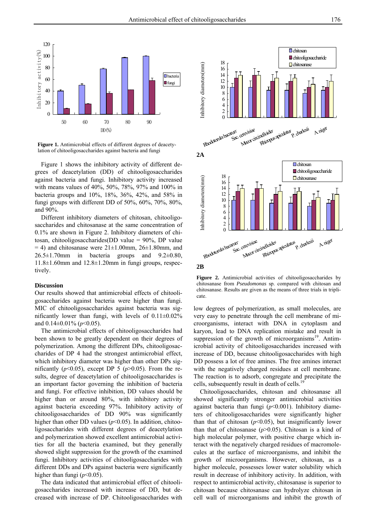

**Figure 1.** Antimicrobial effects of different degrees of deacetylation of chitooligosaccharides against bacteria and fungi

Figure 1 shows the inhibitory activity of different degrees of deacetylation (DD) of chitooligosaccharides against bacteria and fungi. Inhibitory activity increased with means values of 40%, 50%, 78%, 97% and 100% in bacteria groups and 10%, 18%, 36%, 42%, and 58% in fungi groups with different DD of 50%, 60%, 70%, 80%, and 90%.

Different inhibitory diameters of chitosan, chitooligosaccharides and chitosanase at the same concentration of 0.1% are shown in Figure 2. Inhibitory diameters of chitosan, chitooligosaccharides(DD value = 90%, DP value  $=$  4) and chitosanase were  $21 \pm 1.00$  mm,  $26 \pm 1.80$  mm, and  $26.5\pm1.70$ mm in bacteria groups and  $9.2\pm0.80$ ,  $11.8\pm1.60$ mm and  $12.8\pm1.20$ mm in fungi groups, respectively.

## **Discussion**

Our results showed that antimicrobial effects of chitooligosaccharides against bacteria were higher than fungi. MIC of chitooligosaccharides against bacteria was significantly lower than fungi, with levels of  $0.11 \pm 0.02\%$ and 0.14±0.01% (*p*<0.05).

The antimicrobial effects of chitooligosaccharides had been shown to be greatly dependent on their degrees of polymerization. Among the different DPs, chitooligosaccharides of DP 4 had the strongest antimicrobial effect, which inhibitory diameter was higher than other DPs significantly ( $p$ <0.05), except DP 5 ( $p$ >0.05). From the results, degree of deacetylation of chitooligosaccharides is an important factor governing the inhibition of bacteria and fungi. For effective inhibition, DD values should be higher than or around 80%, with inhibitory activity against bacteria exceeding 97%. Inhibitory activity of chitooligosaccharides of DD 90% was significantly higher than other DD values  $(p<0.05)$ . In addition, chitooligosaccharides with different degrees of deacetylation and polymerization showed excellent antimicrobial activities for all the bacteria examined, but they generally showed slight suppression for the growth of the examined fungi. Inhibitory activities of chitooligosaccharides with different DDs and DPs against bacteria were significantly higher than fungi ( $p$ <0.05).

The data indicated that antimicrobial effect of chitooligosaccharides increased with increase of DD, but decreased with increase of DP. Chitooligosaccharides with



**Figure 2.** Antimicrobial activities of chitooligosaccharides by chitosanase from *Pseudomonas* sp. compared with chitosan and chitosanase. Results are given as the means of three trials in triplicate.

low degrees of polymerization, as small molecules, are very easy to penetrate through the cell membrane of microorganisms, interact with DNA in cytoplasm and karyon, lead to DNA replication mistake and result in suppression of the growth of microorganisms<sup>19</sup>. Antimicrobial activity of chitooligosaccharides increased with increase of DD, because chitooligosaccharides with high DD possess a lot of free amines. The free amines interact with the negatively charged residues at cell membrane. The reaction is to adsorb, congregate and precipitate the cells, subsequently result in death of cells.<sup>19</sup>

Chitooligosaccharides, chitosan and chitosanase all showed significantly stronger antimicrobial activities against bacteria than fungi (*p*<0.001). Inhibitory diameters of chitooligosaccharides were significantly higher than that of chitosan  $(p<0.05)$ , but insignificantly lower than that of chitosanase  $(p>0.05)$ . Chitosan is a kind of high molecular polymer, with positive charge which interact with the negatively charged residues of macromolecules at the surface of microorganisms, and inhibit the growth of microorganisms. However, chitosan, as a higher molecule, possesses lower water solubility which result in decrease of inhibitory activity. In addition, with respect to antimicrobial activity, chitosanase is superior to chitosan because chitosanase can hydrolyze chitosan in cell wall of microorganisms and inhibit the growth of